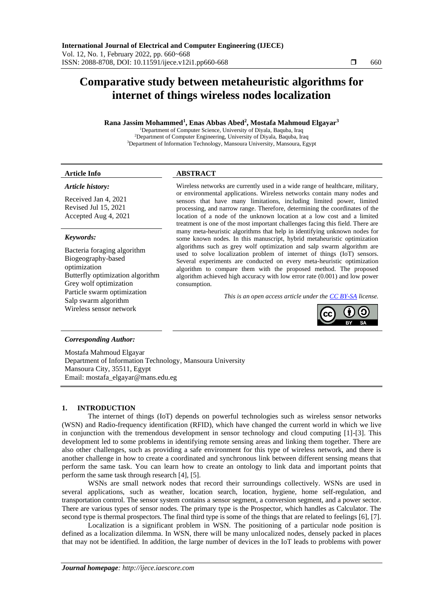# **Comparative study between metaheuristic algorithms for internet of things wireless nodes localization**

#### **Rana Jassim Mohammed<sup>1</sup> , Enas Abbas Abed<sup>2</sup> , Mostafa Mahmoud Elgayar<sup>3</sup>**

<sup>1</sup>Department of Computer Science, University of Diyala, Baquba, Iraq <sup>2</sup>Department of Computer Engineering, University of Diyala, Baquba, Iraq <sup>3</sup>Department of Information Technology, Mansoura University, Mansoura, Egypt

#### **Article Info ABSTRACT**

#### *Article history:*

Received Jan 4, 2021 Revised Jul 15, 2021 Accepted Aug 4, 2021

#### *Keywords:*

Bacteria foraging algorithm Biogeography-based optimization Butterfly optimization algorithm Grey wolf optimization Particle swarm optimization Salp swarm algorithm Wireless sensor network

Wireless networks are currently used in a wide range of healthcare, military, or environmental applications. Wireless networks contain many nodes and sensors that have many limitations, including limited power, limited processing, and narrow range. Therefore, determining the coordinates of the location of a node of the unknown location at a low cost and a limited treatment is one of the most important challenges facing this field. There are many meta-heuristic algorithms that help in identifying unknown nodes for some known nodes. In this manuscript, hybrid metaheuristic optimization algorithms such as grey wolf optimization and salp swarm algorithm are used to solve localization problem of internet of things (IoT) sensors. Several experiments are conducted on every meta-heuristic optimization algorithm to compare them with the proposed method. The proposed algorithm achieved high accuracy with low error rate (0.001) and low power consumption.

*This is an open access article under the [CC BY-SA](https://creativecommons.org/licenses/by-sa/4.0/) license.*



## *Corresponding Author:*

Mostafa Mahmoud Elgayar Department of Information Technology, Mansoura University Mansoura City, 35511, Egypt Email: mostafa\_elgayar@mans.edu.eg

## **1. INTRODUCTION**

The internet of things (IoT) depends on powerful technologies such as wireless sensor networks (WSN) and Radio-frequency identification (RFID), which have changed the current world in which we live in conjunction with the tremendous development in sensor technology and cloud computing [1]-[3]. This development led to some problems in identifying remote sensing areas and linking them together. There are also other challenges, such as providing a safe environment for this type of wireless network, and there is another challenge in how to create a coordinated and synchronous link between different sensing means that perform the same task. You can learn how to create an ontology to link data and important points that perform the same task through research [4], [5].

WSNs are small network nodes that record their surroundings collectively. WSNs are used in several applications, such as weather, location search, location, hygiene, home self-regulation, and transportation control. The sensor system contains a sensor segment, a conversion segment, and a power sector. There are various types of sensor nodes. The primary type is the Prospector, which handles as Calculator. The second type is thermal prospectors. The final third type is some of the things that are related to feelings [6], [7].

Localization is a significant problem in WSN. The positioning of a particular node position is defined as a localization dilemma. In WSN, there will be many unlocalized nodes, densely packed in places that may not be identified. In addition, the large number of devices in the IoT leads to problems with power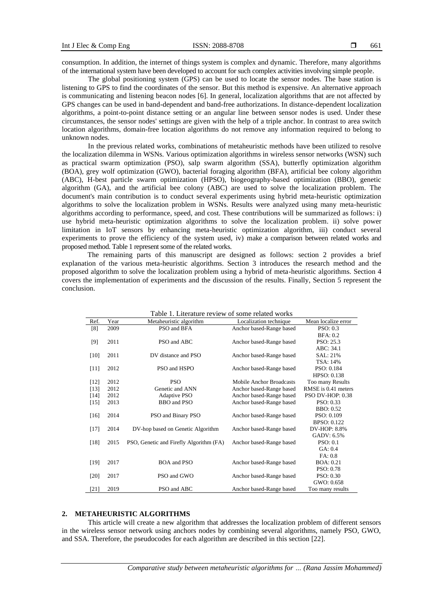consumption. In addition, the internet of things system is complex and dynamic. Therefore, many algorithms of the international system have been developed to account for such complex activities involving simple people.

The global positioning system (GPS) can be used to locate the sensor nodes. The base station is listening to GPS to find the coordinates of the sensor. But this method is expensive. An alternative approach is communicating and listening beacon nodes [6]. In general, localization algorithms that are not affected by GPS changes can be used in band-dependent and band-free authorizations. In distance-dependent localization algorithms, a point-to-point distance setting or an angular line between sensor nodes is used. Under these circumstances, the sensor nodes' settings are given with the help of a triple anchor. In contrast to area switch location algorithms, domain-free location algorithms do not remove any information required to belong to unknown nodes.

In the previous related works, combinations of metaheuristic methods have been utilized to resolve the localization dilemma in WSNs. Various optimization algorithms in wireless sensor networks (WSN) such as practical swarm optimization (PSO), salp swarm algorithm (SSA), butterfly optimization algorithm (BOA), grey wolf optimization (GWO), bacterial foraging algorithm (BFA), artificial bee colony algorithm (ABC), H-best particle swarm optimization (HPSO), biogeography-based optimization (BBO), genetic algorithm (GA), and the artificial bee colony (ABC) are used to solve the localization problem. The document's main contribution is to conduct several experiments using hybrid meta-heuristic optimization algorithms to solve the localization problem in WSNs. Results were analyzed using many meta-heuristic algorithms according to performance, speed, and cost. These contributions will be summarized as follows: i) use hybrid meta-heuristic optimization algorithms to solve the localization problem. ii) solve power limitation in IoT sensors by enhancing meta-heuristic optimization algorithm, iii) conduct several experiments to prove the efficiency of the system used, iv) make a comparison between related works and proposed method. Table 1 represent some of the related works.

The remaining parts of this manuscript are designed as follows: section 2 provides a brief explanation of the various meta-heuristic algorithms. Section 3 introduces the research method and the proposed algorithm to solve the localization problem using a hybrid of meta-heuristic algorithms. Section 4 covers the implementation of experiments and the discussion of the results. Finally, Section 5 represent the conclusion.

| Table 1. Literature review of some related works |      |                                         |                                 |                     |  |  |
|--------------------------------------------------|------|-----------------------------------------|---------------------------------|---------------------|--|--|
| Ref.                                             | Year | Metaheuristic algorithm                 | Localization technique          | Mean localize error |  |  |
| [8]                                              | 2009 | PSO and BFA                             | Anchor based-Range based        | PSO: 0.3            |  |  |
|                                                  |      |                                         |                                 | BFA: 0.2            |  |  |
| [9]                                              | 2011 | PSO and ABC                             | Anchor based-Range based        | PSO: 25.3           |  |  |
|                                                  |      |                                         |                                 | ABC: 34.1           |  |  |
| [10]                                             | 2011 | DV distance and PSO                     | Anchor based-Range based        | SAL: 21%            |  |  |
|                                                  |      |                                         |                                 | TSA: 14%            |  |  |
| $[11]$                                           | 2012 | PSO and HSPO                            | Anchor based-Range based        | PSO: 0.184          |  |  |
|                                                  |      |                                         |                                 | <b>HPSO: 0.138</b>  |  |  |
| $[12]$                                           | 2012 | <b>PSO</b>                              | <b>Mobile Anchor Broadcasts</b> | Too many Results    |  |  |
| $[13]$                                           | 2012 | Genetic and ANN                         | Anchor based-Range based        | RMSE is 0.41 meters |  |  |
| $[14]$                                           | 2012 | Adaptive PSO                            | Anchor based-Range based        | PSO DV-HOP: 0.38    |  |  |
| $[15]$                                           | 2013 | BBO and PSO                             | Anchor based-Range based        | PSO: 0.33           |  |  |
|                                                  |      |                                         |                                 | <b>BBO</b> : 0.52   |  |  |
| $[16]$                                           | 2014 | PSO and Binary PSO                      | Anchor based-Range based        | PSO: 0.109          |  |  |
|                                                  |      |                                         |                                 | <b>BPSO: 0.122</b>  |  |  |
| $[17]$                                           | 2014 | DV-hop based on Genetic Algorithm       | Anchor based-Range based        | DV-HOP: 8.8%        |  |  |
|                                                  |      |                                         |                                 | GADV: 6.5%          |  |  |
| [18]                                             | 2015 | PSO, Genetic and Firefly Algorithm (FA) | Anchor based-Range based        | <b>PSO: 0.1</b>     |  |  |
|                                                  |      |                                         |                                 | GA: 0.4             |  |  |
|                                                  |      |                                         |                                 | FA: 0.8             |  |  |
| $[19]$                                           | 2017 | <b>BOA</b> and <b>PSO</b>               | Anchor based-Range based        | <b>BOA</b> : 0.21   |  |  |
|                                                  |      |                                         |                                 | PSO: 0.78           |  |  |
| [20]                                             | 2017 | PSO and GWO                             | Anchor based-Range based        | PSO: 0.30           |  |  |
|                                                  |      |                                         |                                 | GWO: 0.658          |  |  |
| [21]                                             | 2019 | PSO and ABC                             | Anchor based-Range based        | Too many results    |  |  |

#### **2. METAHEURISTIC ALGORITHMS**

This article will create a new algorithm that addresses the localization problem of different sensors in the wireless sensor network using anchors nodes by combining several algorithms, namely PSO, GWO, and SSA. Therefore, the pseudocodes for each algorithm are described in this section [22].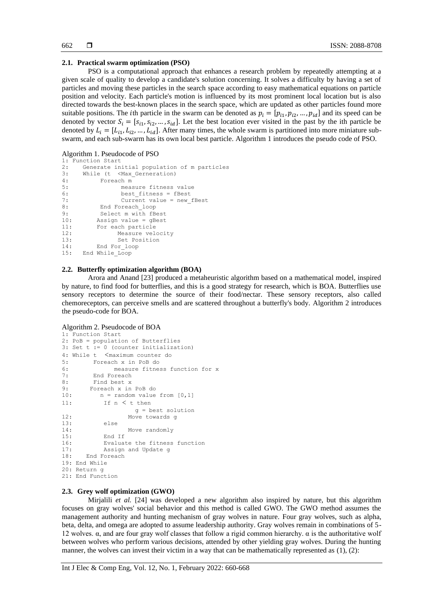#### **2.1. Practical swarm optimization (PSO)**

PSO is a computational approach that enhances a research problem by repeatedly attempting at a given scale of quality to develop a candidate's solution concerning. It solves a difficulty by having a set of particles and moving these particles in the search space according to easy mathematical equations on particle position and velocity. Each particle's motion is influenced by its most prominent local location but is also directed towards the best-known places in the search space, which are updated as other particles found more suitable positions. The *i*th particle in the swarm can be denoted as  $p_i = [p_{i1}, p_{i2}, ..., p_{id}]$  and its speed can be denoted by vector  $S_i = [s_{i1}, s_{i2}, ..., s_{id}]$ . Let the best location ever visited in the past by the ith particle be denoted by  $L_i = [L_{i1}, L_{i2}, ..., L_{id}]$ . After many times, the whole swarm is partitioned into more miniature subswarm, and each sub-swarm has its own local best particle. Algorithm 1 introduces the pseudo code of PSO.

#### Algorithm 1. Pseudocode of PSO

```
1: Function Start
2: Generate initial population of m particles<br>3: While (t <Max Gerneration)
      While (t <Max Gerneration)
4: Foreach m<br>5: meas
5: measure fitness value<br>6: best fitness = fBest
6: best_fitness = fBest<br>7: Current value = new
7: Current value = new_fBest<br>8. End Foreach loop
8: End Foreach_loop<br>9: Select m with fBe
            Select m with fBest
10: Assign value = gBest<br>11: For each particle
           For each particle
12: Measure velocity 
13: Set Position 
14: End For_loop
15: End While_Loop
```
#### **2.2. Butterfly optimization algorithm (BOA)**

Arora and Anand [23] produced a metaheuristic algorithm based on a mathematical model, inspired by nature, to find food for butterflies, and this is a good strategy for research, which is BOA. Butterflies use sensory receptors to determine the source of their food/nectar. These sensory receptors, also called chemoreceptors, can perceive smells and are scattered throughout a butterfly's body. Algorithm 2 introduces the pseudo-code for BOA.

#### Algorithm 2. Pseudocode of BOA

```
1: Function Start
2: PoB = population of Butterflies 
3: Set t := 0 (counter initialization)
4: While t <maximum counter do
5: Foreach x in PoB do
6: measure fitness function for x<br>7. End Foreach
         End Foreach
8: Find best x<br>9: Foreach x in
        9: Foreach x in PoB do
10: n = \text{random value from } [0,1]11: If n \leq t then
g = best solution<br>12: Move towards q
                   Move towards g
13: else
14: Move randomly
15: End If
16: Evaluate the fitness function<br>17: Assign and Update g
           Assign and Update g
18: End Foreach
19: End While
20: Return g
21: End Function
```
#### **2.3. Grey wolf optimization (GWO)**

Mirjalili *et al.* [24] was developed a new algorithm also inspired by nature, but this algorithm focuses on gray wolves' social behavior and this method is called GWO. The GWO method assumes the management authority and hunting mechanism of gray wolves in nature. Four gray wolves, such as alpha, beta, delta, and omega are adopted to assume leadership authority. Gray wolves remain in combinations of 5- 12 wolves. α, and are four gray wolf classes that follow a rigid common hierarchy. α is the authoritative wolf between wolves who perform various decisions, attended by other yielding gray wolves. During the hunting manner, the wolves can invest their victim in a way that can be mathematically represented as (1), (2):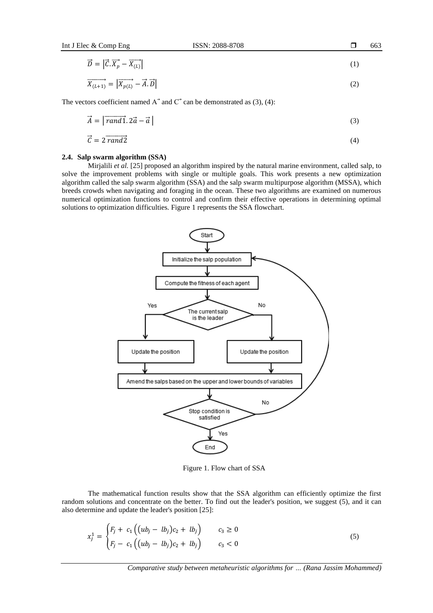$$
\vec{D} = \left| \vec{C} \cdot \vec{X_p} - \vec{X_{(L)}} \right| \tag{1}
$$

$$
\overrightarrow{X_{(L+1)}} = |\overrightarrow{X_{p(L)}} - \overrightarrow{A} \cdot \overrightarrow{D}| \tag{2}
$$

The vectors coefficient named  $A^{\dagger}$  and  $C^{\dagger}$  can be demonstrated as (3), (4):

$$
\vec{A} = |\vec{rand1} \cdot 2\vec{a} - \vec{a}| \tag{3}
$$

$$
\vec{C} = 2 \vec{rand2} \tag{4}
$$

#### **2.4. Salp swarm algorithm (SSA)**

Mirjalili *et al.* [25] proposed an algorithm inspired by the natural marine environment, called salp, to solve the improvement problems with single or multiple goals. This work presents a new optimization algorithm called the salp swarm algorithm (SSA) and the salp swarm multipurpose algorithm (MSSA), which breeds crowds when navigating and foraging in the ocean. These two algorithms are examined on numerous numerical optimization functions to control and confirm their effective operations in determining optimal solutions to optimization difficulties. Figure 1 represents the SSA flowchart.



Figure 1. Flow chart of SSA

The mathematical function results show that the SSA algorithm can efficiently optimize the first random solutions and concentrate on the better. To find out the leader's position, we suggest (5), and it can also determine and update the leader's position [25]:

$$
x_j^1 = \begin{cases} F_j + c_1 ((ub_j - lb_j)c_2 + lb_j) & c_3 \ge 0 \\ F_j - c_1 ((ub_j - lb_j)c_2 + lb_j) & c_3 < 0 \end{cases}
$$
 (5)

663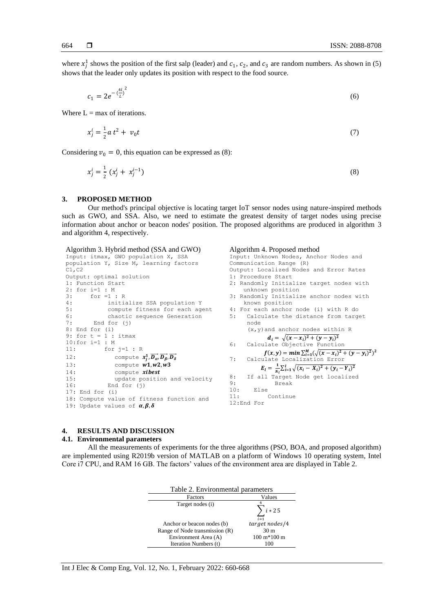where  $x_j^1$  shows the position of the first salp (leader) and  $c_1$ ,  $c_2$ , and  $c_3$  are random numbers. As shown in (5) shows that the leader only updates its position with respect to the food source.

$$
c_1 = 2e^{-\left(\frac{4l}{L}\right)^2} \tag{6}
$$

Where  $L = max$  of iterations.

$$
x_j^i = \frac{1}{2} a t^2 + v_0 t \tag{7}
$$

Considering  $v_0 = 0$ , this equation can be expressed as (8):

Algorithm 3. Hybrid method (SSA and GWO)

$$
x_j^i = \frac{1}{2} (x_j^i + x_j^{i-1})
$$
 (8)

#### **3. PROPOSED METHOD**

Our method's principal objective is locating target IoT sensor nodes using nature-inspired methods such as GWO, and SSA. Also, we need to estimate the greatest density of target nodes using precise information about anchor or beacon nodes' position. The proposed algorithms are produced in algorithm 3 and algorithm 4, respectively.

Algorithm 4. Proposed method

#### Input: itmax, GWO population X, SSA population Y, Size M, learning factors C1,C2 Output: optimal solution 1: Function Start 2: for i=1 : M  $3:$  for  $=1:R$ <br> $4:$  initi. initialize SSA population Y 5: compute fitness for each agent 6: chaotic sequence Generation<br>7: End for (j) End for (j) 8: End for (i) 9: for  $t = 1$  : itmax 10:for i=1 : M 11: for j=1 : R 12: compute  $x_j^1$ ,  $\overrightarrow{D_{\alpha}}$ ,  $\overrightarrow{D_{\beta}}$ ,  $\overrightarrow{D_{\delta}}$ 13: compute  $w1, w2, w3$ 14: compute *xibest* 15: update position and velocity 16: End for (j) 17: End for (i) 18: Compute value of fitness function and 19: Update values of  $\alpha, \beta, \delta$ Input: Unknown Nodes, Anchor Nodes and Communication Range (R) Output: Localized Nodes and Error Rates 1: Procedure Start 2: Randomly Initialize target nodes with unknown position 3: Randomly Initialize anchor nodes with known position 4: For each anchor node (i) with R do 5: Calculate the distance from target node (x,y)and anchor nodes within R  $d_i = \sqrt{(x - x_i)^2 + (y - y_i)^2}$ 6: Calculate Objective Function  $f(x, y) = min \sum_{i=1}^{M} (\sqrt{(x - x_i)^2 + (y - y_i)^2})^2$ 7: Calculate Localization Error  $E_l=\frac{1}{N}$  $\frac{1}{N_l} \sum_{i=1}^l \sqrt{(x_i - X_i)^2 + (y_i - Y_i)^2}$ 8: If all Target Node get localized 9: Break 10: Else<br>11: Continue 12:End For

#### **4. RESULTS AND DISCUSSION**

#### **4.1. Environmental parameters**

All the measurements of experiments for the three algorithms (PSO, BOA, and proposed algorithm) are implemented using R2019b version of MATLAB on a platform of Windows 10 operating system, Intel Core i7 CPU, and RAM 16 GB. The factors' values of the environment area are displayed in Table 2.

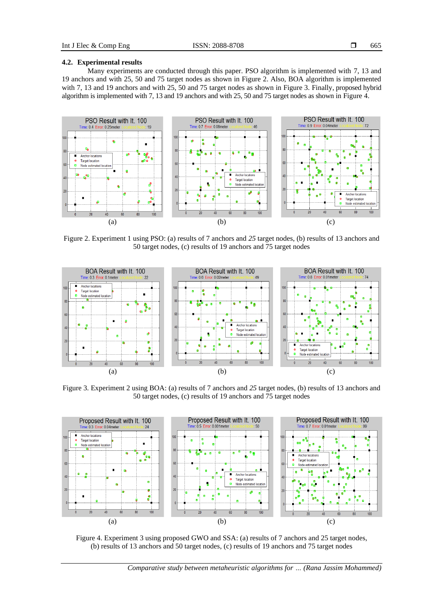#### **4.2. Experimental results**

Many experiments are conducted through this paper. PSO algorithm is implemented with 7, 13 and 19 anchors and with 25, 50 and 75 target nodes as shown in Figure 2. Also, BOA algorithm is implemented with 7, 13 and 19 anchors and with 25, 50 and 75 target nodes as shown in Figure 3. Finally, proposed hybrid algorithm is implemented with 7, 13 and 19 anchors and with 25, 50 and 75 target nodes as shown in Figure 4.



Figure 2. Experiment 1 using PSO: (a) results of 7 anchors and *25* target nodes, (b) results of 13 anchors and 50 target nodes, (c) results of 19 anchors and 75 target nodes



Figure 3. Experiment 2 using BOA: (a) results of 7 anchors and *25* target nodes, (b) results of 13 anchors and 50 target nodes, (c) results of 19 anchors and 75 target nodes



Figure 4. Experiment 3 using proposed GWO and SSA: (a) results of 7 anchors and 25 target nodes, (b) results of 13 anchors and 50 target nodes, (c) results of 19 anchors and 75 target nodes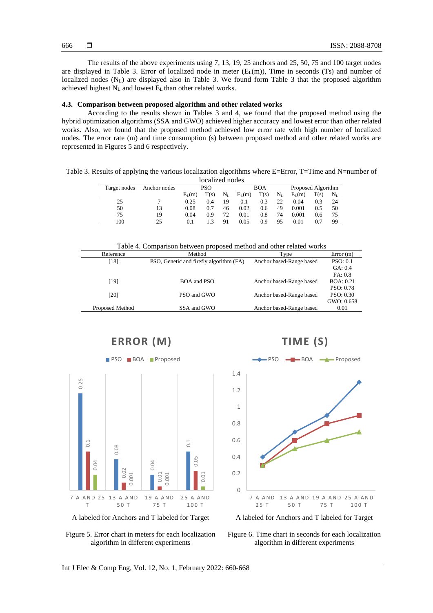The results of the above experiments using 7, 13, 19, 25 anchors and 25, 50, 75 and 100 target nodes are displayed in Table 3. Error of localized node in meter  $(E_L(m))$ , Time in seconds (Ts) and number of localized nodes  $(N_L)$  are displayed also in Table 3. We found form Table 3 that the proposed algorithm achieved highest  $N_L$  and lowest  $E_L$  than other related works.

#### **4.3. Comparison between proposed algorithm and other related works**

According to the results shown in Tables 3 and 4, we found that the proposed method using the hybrid optimization algorithms (SSA and GWO) achieved higher accuracy and lowest error than other related works. Also, we found that the proposed method achieved low error rate with high number of localized nodes. The error rate (m) and time consumption (s) between proposed method and other related works are represented in Figures 5 and 6 respectively.

Table 3. Results of applying the various localization algorithms where E=Error, T=Time and N=number of

| localized nodes |              |          |            |             |          |            |           |                    |      |           |
|-----------------|--------------|----------|------------|-------------|----------|------------|-----------|--------------------|------|-----------|
| Target nodes    | Anchor nodes |          | <b>PSO</b> |             |          | <b>BOA</b> |           | Proposed Algorithm |      |           |
|                 |              | $E_I(m)$ | T(s)       | $\rm N_{L}$ | $E_I(m)$ | T(s)       | $\rm N_L$ | $E_L(m)$           | T(s) | $\rm N_L$ |
| 25              |              | 0.25     | 0.4        | 19          | 0.1      | 0.3        | 22        | 0.04               | 0.3  | 24        |
| 50              | 13           | 0.08     | 0.7        | 46          | 0.02     | 0.6        | 49        | 0.001              | 0.5  | 50        |
| 75              | 19           | 0.04     | 0.9        | 72          | 0.01     | 0.8        | 74        | 0.001              | 0.6  | 75        |
| 100             | 25           | 0.1      |            | 91          | 0.05     | 0.9        | 95        | 0.01               | 0.7  | 99        |

Table 4. Comparison between proposed method and other related works

| Reference       | Method                                  | Type                     | Error(m)          |
|-----------------|-----------------------------------------|--------------------------|-------------------|
| [18]            | PSO, Genetic and firefly algorithm (FA) | Anchor based-Range based | PSO: 0.1          |
|                 |                                         |                          | GA: 0.4           |
|                 |                                         |                          | FA: 0.8           |
| [19]            | BOA and PSO                             | Anchor based-Range based | <b>BOA</b> : 0.21 |
|                 |                                         |                          | <b>PSO: 0.78</b>  |
| [20]            | PSO and GWO                             | Anchor based-Range based | <b>PSO: 0.30</b>  |
|                 |                                         |                          | GWO: 0.658        |
| Proposed Method | SSA and GWO                             | Anchor based-Range based | 0.01              |
|                 |                                         |                          |                   |



Figure 5. Error chart in meters for each localization algorithm in different experiments



Figure 6. Time chart in seconds for each localization algorithm in different experiments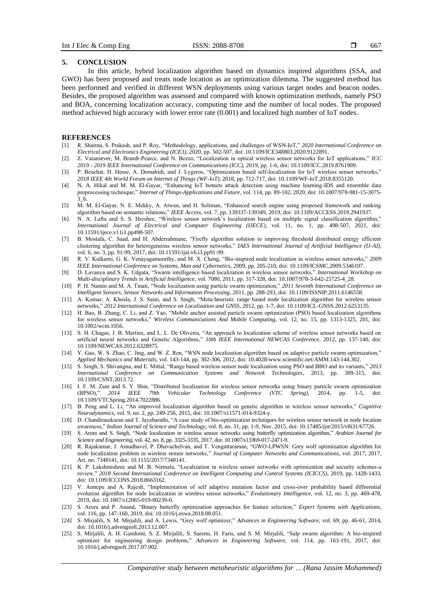#### **5. CONCLUSION**

In this article, hybrid localization algorithm based on dynamics inspired algorithms (SSA, and GWO) has been proposed and treats node location as an optimization dilemma. The suggested method has been performed and verified in different WSN deployments using various target nodes and beacon nodes. Besides, the proposed algorithm was assessed and compared with known optimization methods, namely PSO and BOA, concerning localization accuracy, computing time and the number of local nodes. The proposed method achieved high accuracy with lower error rate (0.001) and localized high number of IoT nodes.

#### **REFERENCES**

- [1] R. Sharma, S. Prakash, and P. Roy, "Methodology, applications, and challenges of WSN-IoT," *2020 International Conference on Electrical and Electronics Engineering (ICE3),* 2020, pp. 502-507, doi: 10.1109/ICE348803.2020.9122891.
- [2] Z. Vatansever, M. Brandt-Pearce, and N. Bezzo, "Localization in optical wireless sensor networks for IoT applications," *ICC 2019 - 2019 IEEE International Conference on Communications (ICC),* 2019, pp. 1-6, doi: 10.1109/ICC.2019.8761909.
- [3] P. Beuchat, H. Hesse, A. Domahidi, and J. Lygeros, "Optimization based self-localization for IoT wireless sensor networks," *2018 IEEE 4th World Forum on Internet of Things (WF-IoT),* 2018, pp. 712-717, doi: 10.1109/WF-IoT.2018.8355120.
- [4] N. A. Hikal and M. M. El-Gayar, "Enhancing IoT botnets attack detection using machine learning-IDS and ensemble data preprocessing technique," *Internet of Things-Applications and Future,* vol. 114, pp. 89-102, 2020, doi: 10.1007/978-981-15-3075- 3\_6.
- [5] M. M. El-Gayar, N. E. Mekky, A. Atwan, and H. Soliman, "Enhanced search engine using proposed framework and ranking algorithm based on semantic relations," *IEEE Access,* vol. 7, pp. 139337-139349, 2019, doi: 10.1109/ACCESS.2019.2941937.
- [6] N. A. Lafta and S. S. Hreshee, "Wireless sensor network's localization based on multiple signal classification algorithm," *International Journal of Electrical and Computer Engineering (IJECE*), vol. 11, no. 1, pp. 498-507, 2021, doi: 10.11591/ijece.v11i1.pp498-507.
- [7] B. Mostafa, C. Saad, and H. Abderrahmane, "Firefly algorithm solution to improving threshold distributed energy efficient clustering algorithm for heterogeneous wireless sensor networks," *IAES International Journal of Artificial Intelligence (IJ-AI),* vol. 6, no. 3, pp. 91-99, 2017, doi: 10.11591/ijai.v6.i3.pp91-99.
- [8] R. V. Kulkarni, G. K. Venayagamoorthy, and M. X. Cheng, "Bio-inspired node localization in wireless sensor networks," *2009 IEEE International Conference on Systems, Man and Cybernetics,* 2009, pp. 205-210, doi: 10.1109/ICSMC.2009.5346107.
- [9] D. Lavanya and S. K. Udgata, "Swarm intelligence based localization in wireless sensor networks," *International Workshop on Multi-disciplinary Trends in Artificial Intelligence,* vol. 7080, 2011, pp. 317-328, doi: 10.1007/978-3-642-25725-4\_28.
- [10] P. H. Namin and M. A. Tinati, "Node localization using particle swarm optimization," *2011 Seventh International Conference on Intelligent Sensors, Sensor Networks and Information Processing*, 2011, pp. 288-293, doi: 10.1109/ISSNIP.2011.6146558.
- [11] A. Kumar, A. Khosla, J. S. Saini, and S. Singh, "Meta-heuristic range based node localization algorithm for wireless sensor networks," *2012 International Conference on Localization and GNSS,* 2012, pp. 1-7, doi: 10.1109/ICL-GNSS.2012.6253135.
- [12] H. Bao, B. Zhang, C. Li, and Z. Yao, "Mobile anchor assisted particle swarm optimization (PSO) based localization algorithms for wireless sensor networks," *Wireless Communications And Mobile Computing*, vol. 12, no. 15, pp. 1313-1325, 201, doi: 10.1002/wcm.1056.
- [13] S. H. Chagas, J. B. Martins, and L. L. De Oliveira, "An approach to localization scheme of wireless sensor networks based on artificial neural networks and Genetic Algorithms," *10th IEEE International NEWCAS Conference,* 2012, pp. 137-140, doi: 10.1109/NEWCAS.2012.6328975.
- [14] Y. Gao, W. S. Zhao, C. Jing, and W. Z. Ren, "WSN node localization algorithm based on adaptive particle swarm optimization," *Applied Mechanics and Materials,* vol. 143-144, pp. 302-306, 2012, doi: 10.4028/www.scientific.net/AMM.143-144.302.
- [15] S. Singh, S. Shivangna, and E. Mittal, "Range based wireless sensor node localization using PSO and BBO and its variants," *2013 International Conference on Communication Systems and Network Technologies*, 2013, pp. 309-315, doi: 10.1109/CSNT.2013.72.
- [16] I. F. M. Zain and S. Y. Shin, "Distributed localization for wireless sensor networks using binary particle swarm optimization (BPSO)," 2014 IEEE 79th Vehicular Technology Conference (VTC Spring), 2014, pp. 1-5, doi: (BPSO)," *2014 IEEE 79th Vehicular Technology Conference (VTC Spring),* 2014, pp. 1-5, doi: 10.1109/VTCSpring.2014.7022886.
- [17] B. Peng and L. Li, "An improved localization algorithm based on genetic algorithm in wireless sensor networks," *Cognitive Neurodynamics,* vol. 9, no. 2, pp. 249-256, 2015, doi: 10.1007/s11571-014-9324-y.
- [18] D. Chandirasekaran and T. Jayabarathi, "A case study of bio-optimization techniques for wireless sensor network in node location awareness," *Indian Journal of Science and Technology,* vol. 8, no. 31, pp. 1-9, Nov. 2015, doi: 10.17485/ijst/2015/v8i31/67726.
- [19] S. Arora and S. Singh, "Node localization in wireless sensor networks using butterfly optimization algorithm," *Arabian Journal for Science and Engineering,* vol. 42, no. 8, pp. 3325-3335, 2017, doi: 10.1007/s13369-017-2471-9.
- [20] R. Rajakumar, J. Amudhavel, P. Dhavachelvan, and T. Vengattaraman, "GWO-LPWSN: Grey wolf optimization algorithm for node localization problem in wireless sensor networks," *Journal of Computer Networks and Communications*, vol. 2017, 2017, Art. no. 7348141, doi: 10.1155/2017/7348141.
- [21] K. P. Lakshmishree and M. B. Nirmala, "Localization in wireless sensor networks with optimization and security schemes-a review," *2018 Second International Conference on Intelligent Computing and Control Systems (ICICCS),* 2019, pp. 1428-1433, doi: 10.1109/ICCONS.2018.8663162.
- [22] V. Annepu and A. Rajesh, "Implementation of self adaptive mutation factor and cross-over probability based differential evolution algorithm for node localization in wireless sensor networks," *Evolutionary Intelligence,* vol. 12, no. 3, pp. 469-478, 2019, doi: 10.1007/s12065-019-00239-0.
- [23] S. Arora and P. Anand, "Binary butterfly optimization approaches for feature selection," *Expert Systems with Applications,* vol. 116, pp. 147-160, 2019, doi: 10.1016/j.eswa.2018.08.051.
- [24] S. Mirjalili, S. M. Mirjalili, and A. Lewis, "Grey wolf optimizer," *Advances in Engineering Software,* vol. 69, pp. 46-61, 2014, doi: 10.1016/j.advengsoft.2013.12.007.
- [25] S. Mirjalili, A. H. Gandomi, S. Z. Mirjalili, S. Saremi, H. Faris, and S. M. Mirjalili, "Salp swarm algorithm: A bio-inspired optimizer for engineering design problems," *Advances in Engineering Software,* vol. 114, pp. 163-191, 2017, doi: 10.1016/j.advengsoft.2017.07.002.